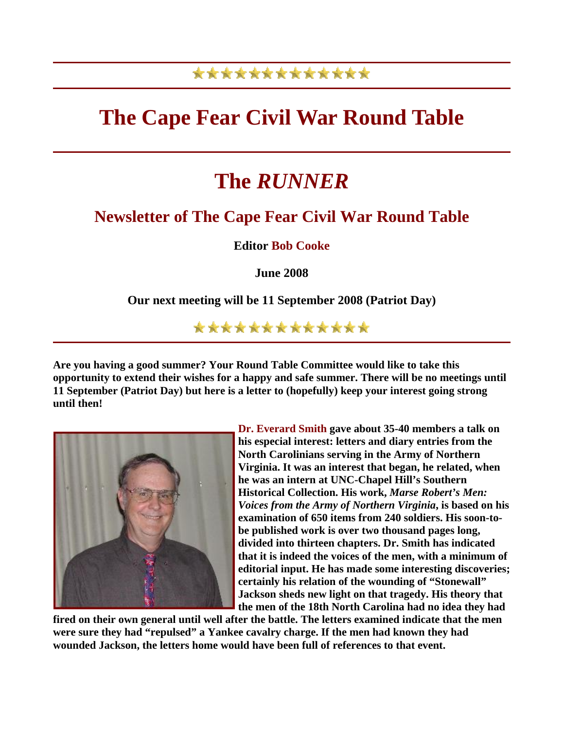## \*\*\*\*\*\*\*\*\*\*\*\*\*

## **The Cape Fear Civil War Round Table**

# **The** *RUNNER*

### **Newsletter of The Cape Fear Civil War Round Table**

**Editor Bob Cooke**

**June 2008** 

**Our next meeting will be 11 September 2008 (Patriot Day)** 

\*\*\*\*\*\*\*\*\*\*\*\*\*

**Are you having a good summer? Your Round Table Committee would like to take this opportunity to extend their wishes for a happy and safe summer. There will be no meetings until 11 September (Patriot Day) but here is a letter to (hopefully) keep your interest going strong until then!** 



**Dr. Everard Smith gave about 35-40 members a talk on his especial interest: letters and diary entries from the North Carolinians serving in the Army of Northern Virginia. It was an interest that began, he related, when he was an intern at UNC-Chapel Hill's Southern Historical Collection. His work,** *Marse Robert's Men: Voices from the Army of Northern Virginia***, is based on his examination of 650 items from 240 soldiers. His soon-tobe published work is over two thousand pages long, divided into thirteen chapters. Dr. Smith has indicated that it is indeed the voices of the men, with a minimum of editorial input. He has made some interesting d iscoveries; certainly his relation of the wounding of "Stonewall" Jackson sheds new light on that tragedy. His theory that**  the men of the 18th North Carolina had no idea they had

fired on their own general until well after the battle. The letters examined indicate that the men **were sure they had "repulsed" a Yankee cavalry charge. If the men had known they had wounded Jackson, the letters home would have been full of references to that event.**